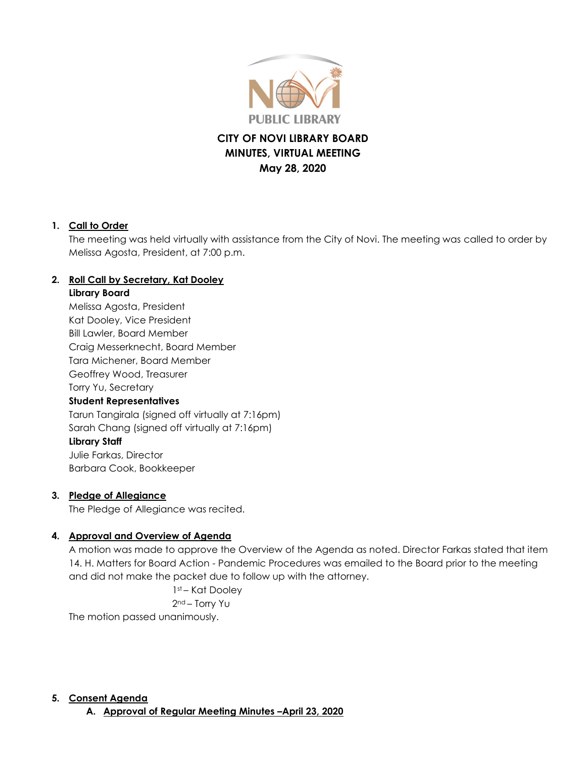

# **CITY OF NOVI LIBRARY BOARD MINUTES, VIRTUAL MEETING May 28, 2020**

### **1. Call to Order**

The meeting was held virtually with assistance from the City of Novi. The meeting was called to order by Melissa Agosta, President, at 7:00 p.m.

### **2. Roll Call by Secretary, Kat Dooley**

#### **Library Board**

Melissa Agosta, President Kat Dooley, Vice President Bill Lawler, Board Member Craig Messerknecht, Board Member Tara Michener, Board Member Geoffrey Wood, Treasurer Torry Yu, Secretary **Student Representatives** Tarun Tangirala (signed off virtually at 7:16pm) Sarah Chang (signed off virtually at 7:16pm) **Library Staff** Julie Farkas, Director

Barbara Cook, Bookkeeper

#### **3. Pledge of Allegiance**

The Pledge of Allegiance was recited.

## **4. Approval and Overview of Agenda**

A motion was made to approve the Overview of the Agenda as noted. Director Farkas stated that item 14. H. Matters for Board Action - Pandemic Procedures was emailed to the Board prior to the meeting and did not make the packet due to follow up with the attorney.

> 1st – Kat Dooley 2nd – Torry Yu

The motion passed unanimously.

#### **5. Consent Agenda**

**A. Approval of Regular Meeting Minutes –April 23, 2020**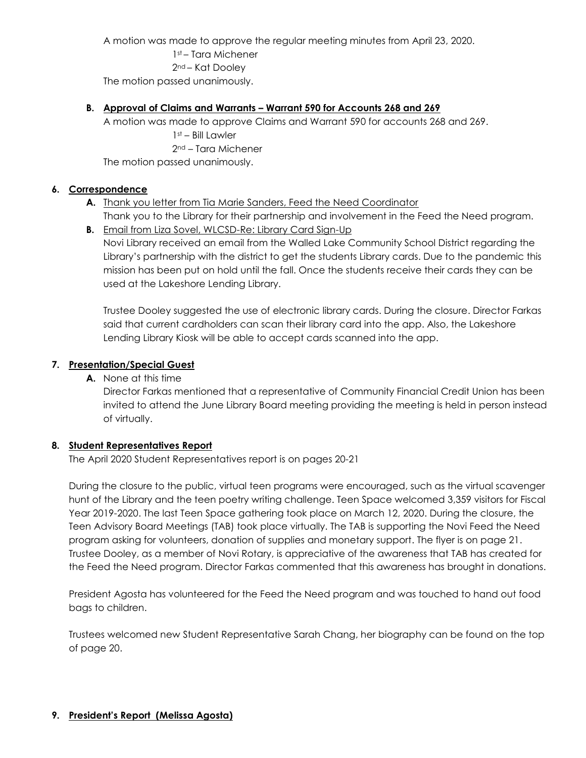A motion was made to approve the regular meeting minutes from April 23, 2020.

1st – Tara Michener 2nd – Kat Dooley The motion passed unanimously.

#### **B. Approval of Claims and Warrants – Warrant 590 for Accounts 268 and 269**

A motion was made to approve Claims and Warrant 590 for accounts 268 and 269. 1st – Bill Lawler 2nd – Tara Michener

The motion passed unanimously.

### **6. Correspondence**

- **A.** Thank you letter from Tia Marie Sanders, Feed the Need Coordinator
	- Thank you to the Library for their partnership and involvement in the Feed the Need program.
- **B.** Email from Liza Sovel, WLCSD-Re: Library Card Sign-Up Novi Library received an email from the Walled Lake Community School District regarding the Library's partnership with the district to get the students Library cards. Due to the pandemic this mission has been put on hold until the fall. Once the students receive their cards they can be used at the Lakeshore Lending Library.

Trustee Dooley suggested the use of electronic library cards. During the closure. Director Farkas said that current cardholders can scan their library card into the app. Also, the Lakeshore Lending Library Kiosk will be able to accept cards scanned into the app.

## **7. Presentation/Special Guest**

**A.** None at this time

Director Farkas mentioned that a representative of Community Financial Credit Union has been invited to attend the June Library Board meeting providing the meeting is held in person instead of virtually.

## **8. Student Representatives Report**

The April 2020 Student Representatives report is on pages 20-21

During the closure to the public, virtual teen programs were encouraged, such as the virtual scavenger hunt of the Library and the teen poetry writing challenge. Teen Space welcomed 3,359 visitors for Fiscal Year 2019-2020. The last Teen Space gathering took place on March 12, 2020. During the closure, the Teen Advisory Board Meetings (TAB) took place virtually. The TAB is supporting the Novi Feed the Need program asking for volunteers, donation of supplies and monetary support. The flyer is on page 21. Trustee Dooley, as a member of Novi Rotary, is appreciative of the awareness that TAB has created for the Feed the Need program. Director Farkas commented that this awareness has brought in donations.

President Agosta has volunteered for the Feed the Need program and was touched to hand out food bags to children.

Trustees welcomed new Student Representative Sarah Chang, her biography can be found on the top of page 20.

## **9. President's Report (Melissa Agosta)**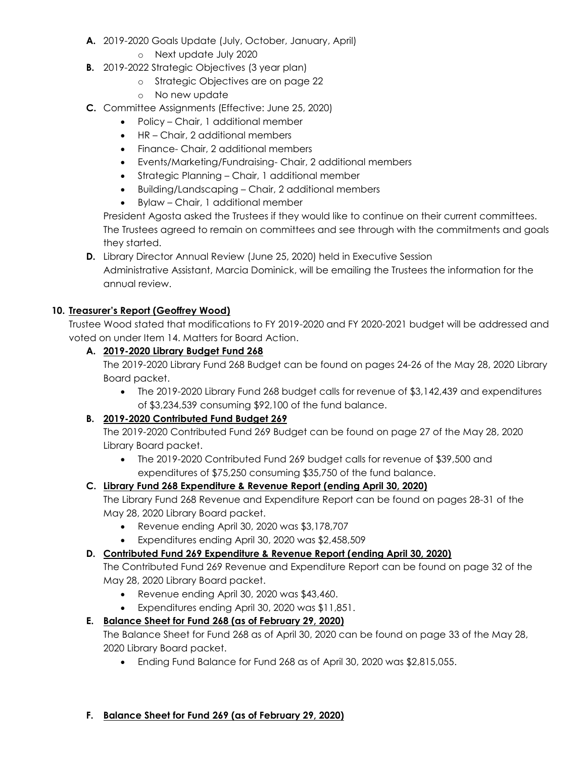- **A.** 2019-2020 Goals Update (July, October, January, April)
	- o Next update July 2020
- **B.** 2019-2022 Strategic Objectives (3 year plan)
	- o Strategic Objectives are on page 22
	- o No new update
- **C.** Committee Assignments (Effective: June 25, 2020)
	- Policy Chair, 1 additional member
	- HR Chair, 2 additional members
	- Finance- Chair, 2 additional members
	- Events/Marketing/Fundraising- Chair, 2 additional members
	- Strategic Planning Chair, 1 additional member
	- Building/Landscaping Chair, 2 additional members
	- Bylaw Chair, 1 additional member

President Agosta asked the Trustees if they would like to continue on their current committees. The Trustees agreed to remain on committees and see through with the commitments and goals they started.

**D.** Library Director Annual Review (June 25, 2020) held in Executive Session Administrative Assistant, Marcia Dominick, will be emailing the Trustees the information for the annual review.

## **10. Treasurer's Report (Geoffrey Wood)**

Trustee Wood stated that modifications to FY 2019-2020 and FY 2020-2021 budget will be addressed and voted on under Item 14. Matters for Board Action.

## **A. 2019-2020 Library Budget Fund 268**

The 2019-2020 Library Fund 268 Budget can be found on pages 24-26 of the May 28, 2020 Library Board packet.

 The 2019-2020 Library Fund 268 budget calls for revenue of \$3,142,439 and expenditures of \$3,234,539 consuming \$92,100 of the fund balance.

## **B. 2019-2020 Contributed Fund Budget 269**

The 2019-2020 Contributed Fund 269 Budget can be found on page 27 of the May 28, 2020 Library Board packet.

 The 2019-2020 Contributed Fund 269 budget calls for revenue of \$39,500 and expenditures of \$75,250 consuming \$35,750 of the fund balance.

## **C. Library Fund 268 Expenditure & Revenue Report (ending April 30, 2020)**

The Library Fund 268 Revenue and Expenditure Report can be found on pages 28-31 of the May 28, 2020 Library Board packet.

- Revenue ending April 30, 2020 was \$3,178,707
- Expenditures ending April 30, 2020 was \$2,458,509

# **D. Contributed Fund 269 Expenditure & Revenue Report (ending April 30, 2020)**

The Contributed Fund 269 Revenue and Expenditure Report can be found on page 32 of the May 28, 2020 Library Board packet.

- Revenue ending April 30, 2020 was \$43,460.
- Expenditures ending April 30, 2020 was \$11,851.

# **E. Balance Sheet for Fund 268 (as of February 29, 2020)**

The Balance Sheet for Fund 268 as of April 30, 2020 can be found on page 33 of the May 28, 2020 Library Board packet.

Ending Fund Balance for Fund 268 as of April 30, 2020 was \$2,815,055.

## **F. Balance Sheet for Fund 269 (as of February 29, 2020)**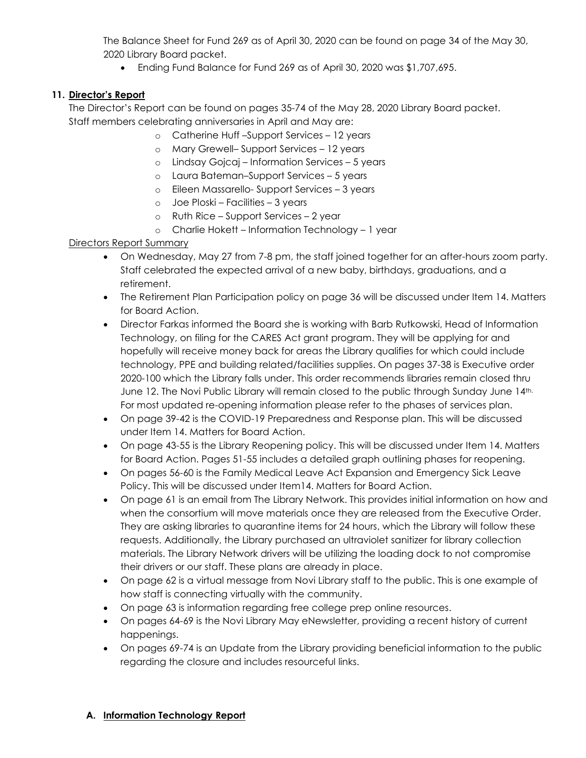The Balance Sheet for Fund 269 as of April 30, 2020 can be found on page 34 of the May 30, 2020 Library Board packet.

Ending Fund Balance for Fund 269 as of April 30, 2020 was \$1,707,695.

## **11. Director's Report**

The Director's Report can be found on pages 35-74 of the May 28, 2020 Library Board packet. Staff members celebrating anniversaries in April and May are:

- o Catherine Huff –Support Services 12 years
- o Mary Grewell– Support Services 12 years
- o Lindsay Gojcaj Information Services 5 years
- o Laura Bateman–Support Services 5 years
- o Eileen Massarello- Support Services 3 years
- o Joe Ploski Facilities 3 years
- o Ruth Rice Support Services 2 year
- o Charlie Hokett Information Technology 1 year

### Directors Report Summary

- On Wednesday, May 27 from 7-8 pm, the staff joined together for an after-hours zoom party. Staff celebrated the expected arrival of a new baby, birthdays, graduations, and a retirement.
- The Retirement Plan Participation policy on page 36 will be discussed under Item 14. Matters for Board Action.
- Director Farkas informed the Board she is working with Barb Rutkowski, Head of Information Technology, on filing for the CARES Act grant program. They will be applying for and hopefully will receive money back for areas the Library qualifies for which could include technology, PPE and building related/facilities supplies. On pages 37-38 is Executive order 2020-100 which the Library falls under. This order recommends libraries remain closed thru June 12. The Novi Public Library will remain closed to the public through Sunday June 14th. For most updated re-opening information please refer to the phases of services plan.
- On page 39-42 is the COVID-19 Preparedness and Response plan. This will be discussed under Item 14. Matters for Board Action.
- On page 43-55 is the Library Reopening policy. This will be discussed under Item 14. Matters for Board Action. Pages 51-55 includes a detailed graph outlining phases for reopening.
- On pages 56-60 is the Family Medical Leave Act Expansion and Emergency Sick Leave Policy. This will be discussed under Item14. Matters for Board Action.
- On page 61 is an email from The Library Network. This provides initial information on how and when the consortium will move materials once they are released from the Executive Order. They are asking libraries to quarantine items for 24 hours, which the Library will follow these requests. Additionally, the Library purchased an ultraviolet sanitizer for library collection materials. The Library Network drivers will be utilizing the loading dock to not compromise their drivers or our staff. These plans are already in place.
- On page 62 is a virtual message from Novi Library staff to the public. This is one example of how staff is connecting virtually with the community.
- On page 63 is information regarding free college prep online resources.
- On pages 64-69 is the Novi Library May eNewsletter, providing a recent history of current happenings.
- On pages 69-74 is an Update from the Library providing beneficial information to the public regarding the closure and includes resourceful links.

## **A. Information Technology Report**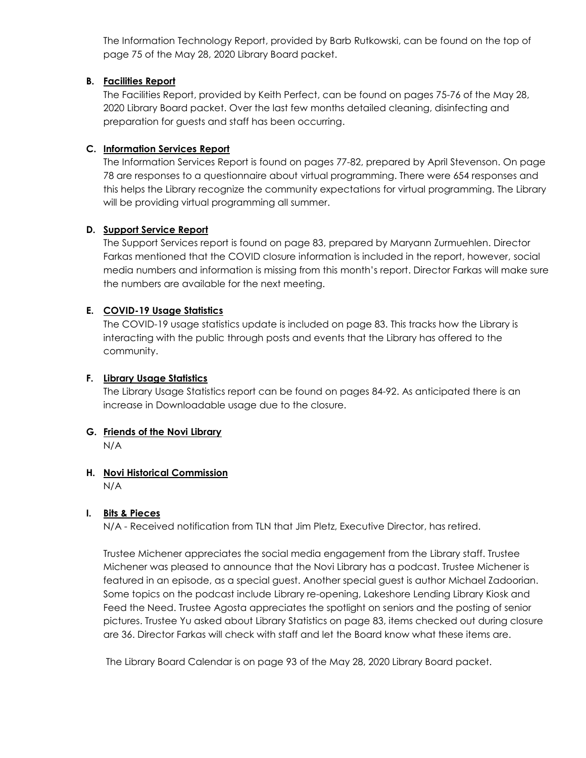The Information Technology Report, provided by Barb Rutkowski, can be found on the top of page 75 of the May 28, 2020 Library Board packet.

#### **B. Facilities Report**

The Facilities Report, provided by Keith Perfect, can be found on pages 75-76 of the May 28, 2020 Library Board packet. Over the last few months detailed cleaning, disinfecting and preparation for guests and staff has been occurring.

### **C. Information Services Report**

The Information Services Report is found on pages 77-82, prepared by April Stevenson. On page 78 are responses to a questionnaire about virtual programming. There were 654 responses and this helps the Library recognize the community expectations for virtual programming. The Library will be providing virtual programming all summer.

### **D. Support Service Report**

The Support Services report is found on page 83, prepared by Maryann Zurmuehlen. Director Farkas mentioned that the COVID closure information is included in the report, however, social media numbers and information is missing from this month's report. Director Farkas will make sure the numbers are available for the next meeting.

### **E. COVID-19 Usage Statistics**

The COVID-19 usage statistics update is included on page 83. This tracks how the Library is interacting with the public through posts and events that the Library has offered to the community.

#### **F. Library Usage Statistics**

The Library Usage Statistics report can be found on pages 84-92. As anticipated there is an increase in Downloadable usage due to the closure.

## **G. Friends of the Novi Library**

N/A

## **H. Novi Historical Commission**

N/A

#### **I. Bits & Pieces**

N/A - Received notification from TLN that Jim Pletz, Executive Director, has retired.

Trustee Michener appreciates the social media engagement from the Library staff. Trustee Michener was pleased to announce that the Novi Library has a podcast. Trustee Michener is featured in an episode, as a special guest. Another special guest is author Michael Zadoorian. Some topics on the podcast include Library re-opening, Lakeshore Lending Library Kiosk and Feed the Need. Trustee Agosta appreciates the spotlight on seniors and the posting of senior pictures. Trustee Yu asked about Library Statistics on page 83, items checked out during closure are 36. Director Farkas will check with staff and let the Board know what these items are.

The Library Board Calendar is on page 93 of the May 28, 2020 Library Board packet.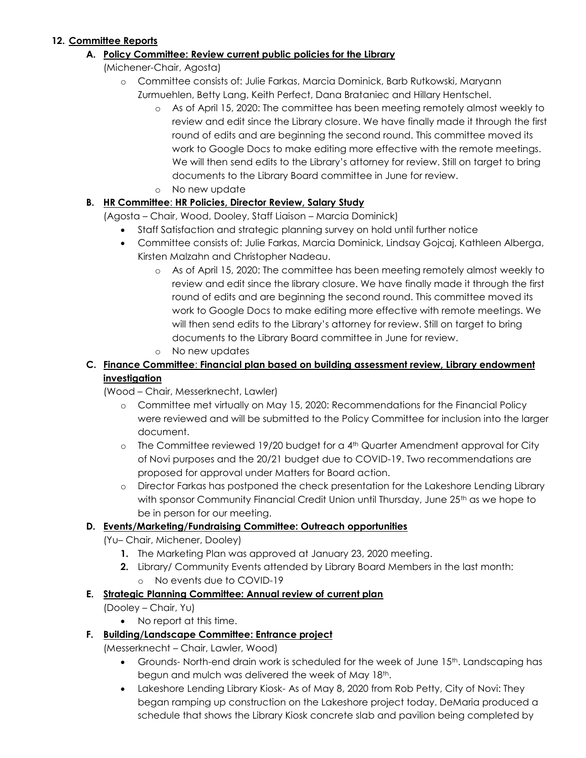### **12. Committee Reports**

### **A. Policy Committee: Review current public policies for the Library**

(Michener-Chair, Agosta)

- o Committee consists of: Julie Farkas, Marcia Dominick, Barb Rutkowski, Maryann Zurmuehlen, Betty Lang, Keith Perfect, Dana Brataniec and Hillary Hentschel.
	- o As of April 15, 2020: The committee has been meeting remotely almost weekly to review and edit since the Library closure. We have finally made it through the first round of edits and are beginning the second round. This committee moved its work to Google Docs to make editing more effective with the remote meetings. We will then send edits to the Library's attorney for review. Still on target to bring documents to the Library Board committee in June for review.
	- o No new update

# **B. HR Committee**: **HR Policies, Director Review, Salary Study**

(Agosta – Chair, Wood, Dooley, Staff Liaison – Marcia Dominick)

- Staff Satisfaction and strategic planning survey on hold until further notice
- Committee consists of: Julie Farkas, Marcia Dominick, Lindsay Gojcaj, Kathleen Alberga, Kirsten Malzahn and Christopher Nadeau.
	- o As of April 15, 2020: The committee has been meeting remotely almost weekly to review and edit since the library closure. We have finally made it through the first round of edits and are beginning the second round. This committee moved its work to Google Docs to make editing more effective with remote meetings. We will then send edits to the Library's attorney for review. Still on target to bring documents to the Library Board committee in June for review.
	- o No new updates

## **C. Finance Committee**: **Financial plan based on building assessment review, Library endowment investigation**

(Wood – Chair, Messerknecht, Lawler)

- o Committee met virtually on May 15, 2020: Recommendations for the Financial Policy were reviewed and will be submitted to the Policy Committee for inclusion into the larger document.
- $\circ$  The Committee reviewed 19/20 budget for a 4<sup>th</sup> Quarter Amendment approval for City of Novi purposes and the 20/21 budget due to COVID-19. Two recommendations are proposed for approval under Matters for Board action.
- o Director Farkas has postponed the check presentation for the Lakeshore Lending Library with sponsor Community Financial Credit Union until Thursday, June 25<sup>th</sup> as we hope to be in person for our meeting.

## **D. Events/Marketing/Fundraising Committee: Outreach opportunities**

- (Yu– Chair, Michener, Dooley)
	- **1.** The Marketing Plan was approved at January 23, 2020 meeting.
	- **2.** Library/ Community Events attended by Library Board Members in the last month: o No events due to COVID-19

## **E. Strategic Planning Committee: Annual review of current plan**

(Dooley – Chair, Yu)

• No report at this time.

## **F. Building/Landscape Committee: Entrance project**

(Messerknecht – Chair, Lawler, Wood)

- Grounds- North-end drain work is scheduled for the week of June 15<sup>th</sup>. Landscaping has begun and mulch was delivered the week of May 18th.
- Lakeshore Lending Library Kiosk-As of May 8, 2020 from Rob Petty, City of Novi: They began ramping up construction on the Lakeshore project today. DeMaria produced a schedule that shows the Library Kiosk concrete slab and pavilion being completed by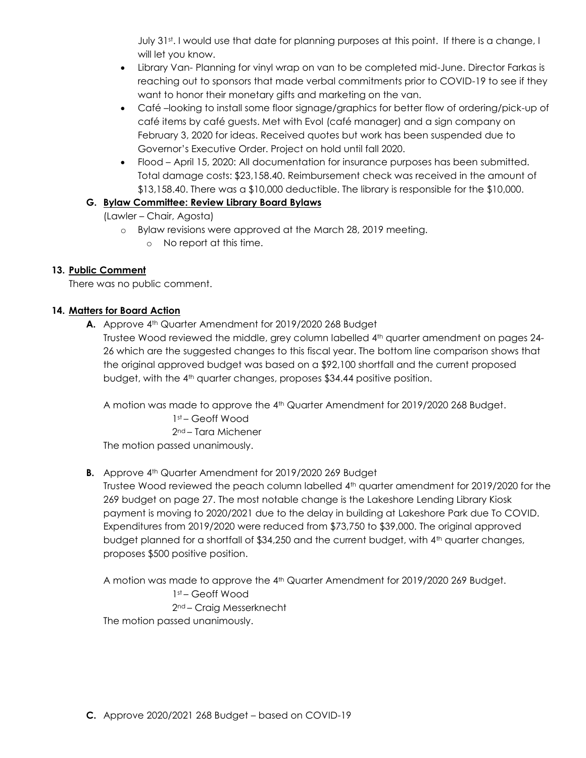July 31st. I would use that date for planning purposes at this point. If there is a change, I will let you know.

- Library Van- Planning for vinyl wrap on van to be completed mid-June. Director Farkas is reaching out to sponsors that made verbal commitments prior to COVID-19 to see if they want to honor their monetary gifts and marketing on the van.
- Café –looking to install some floor signage/graphics for better flow of ordering/pick-up of café items by café guests. Met with Evol (café manager) and a sign company on February 3, 2020 for ideas. Received quotes but work has been suspended due to Governor's Executive Order. Project on hold until fall 2020.
- Flood April 15, 2020: All documentation for insurance purposes has been submitted. Total damage costs: \$23,158.40. Reimbursement check was received in the amount of \$13,158.40. There was a \$10,000 deductible. The library is responsible for the \$10,000.

# **G. Bylaw Committee: Review Library Board Bylaws**

(Lawler – Chair, Agosta)

- o Bylaw revisions were approved at the March 28, 2019 meeting.
	- o No report at this time.

## **13. Public Comment**

There was no public comment.

## **14. Matters for Board Action**

**A.** Approve 4th Quarter Amendment for 2019/2020 268 Budget

Trustee Wood reviewed the middle, grey column labelled 4<sup>th</sup> quarter amendment on pages 24-26 which are the suggested changes to this fiscal year. The bottom line comparison shows that the original approved budget was based on a \$92,100 shortfall and the current proposed budget, with the 4<sup>th</sup> quarter changes, proposes \$34.44 positive position.

A motion was made to approve the 4<sup>th</sup> Quarter Amendment for 2019/2020 268 Budget.

1st – Geoff Wood 2nd – Tara Michener The motion passed unanimously.

## **B.** Approve 4<sup>th</sup> Quarter Amendment for 2019/2020 269 Budget

Trustee Wood reviewed the peach column labelled 4<sup>th</sup> quarter amendment for 2019/2020 for the 269 budget on page 27. The most notable change is the Lakeshore Lending Library Kiosk payment is moving to 2020/2021 due to the delay in building at Lakeshore Park due To COVID. Expenditures from 2019/2020 were reduced from \$73,750 to \$39,000. The original approved budget planned for a shortfall of \$34,250 and the current budget, with 4<sup>th</sup> quarter changes, proposes \$500 positive position.

A motion was made to approve the 4<sup>th</sup> Quarter Amendment for 2019/2020 269 Budget. 1st – Geoff Wood 2nd – Craig Messerknecht The motion passed unanimously.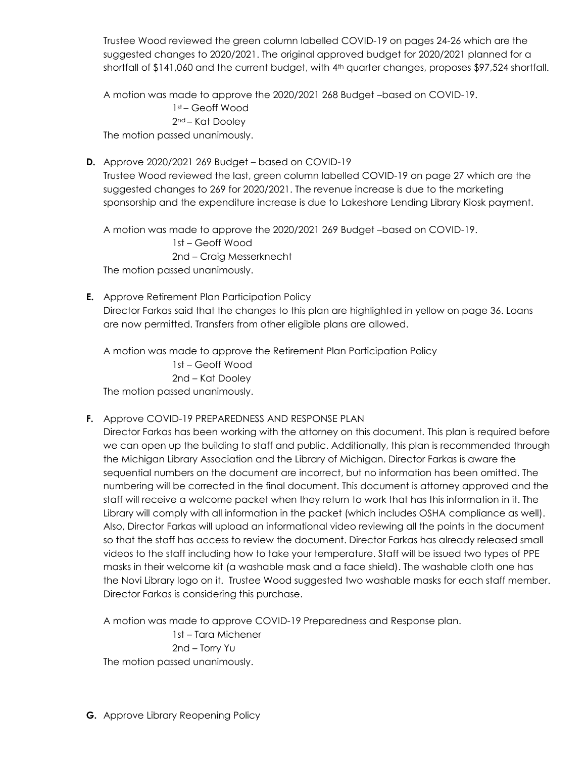Trustee Wood reviewed the green column labelled COVID-19 on pages 24-26 which are the suggested changes to 2020/2021. The original approved budget for 2020/2021 planned for a shortfall of \$141,060 and the current budget, with 4<sup>th</sup> quarter changes, proposes \$97,524 shortfall.

A motion was made to approve the 2020/2021 268 Budget –based on COVID-19.

1st – Geoff Wood 2nd – Kat Dooley The motion passed unanimously.

**D.** Approve 2020/2021 269 Budget – based on COVID-19

Trustee Wood reviewed the last, green column labelled COVID-19 on page 27 which are the suggested changes to 269 for 2020/2021. The revenue increase is due to the marketing sponsorship and the expenditure increase is due to Lakeshore Lending Library Kiosk payment.

A motion was made to approve the 2020/2021 269 Budget –based on COVID-19. 1st – Geoff Wood 2nd – Craig Messerknecht

The motion passed unanimously.

**E.** Approve Retirement Plan Participation Policy Director Farkas said that the changes to this plan are highlighted in yellow on page 36. Loans are now permitted. Transfers from other eligible plans are allowed.

A motion was made to approve the Retirement Plan Participation Policy 1st – Geoff Wood 2nd – Kat Dooley The motion passed unanimously.

## **F.** Approve COVID-19 PREPAREDNESS AND RESPONSE PLAN

Director Farkas has been working with the attorney on this document. This plan is required before we can open up the building to staff and public. Additionally, this plan is recommended through the Michigan Library Association and the Library of Michigan. Director Farkas is aware the sequential numbers on the document are incorrect, but no information has been omitted. The numbering will be corrected in the final document. This document is attorney approved and the staff will receive a welcome packet when they return to work that has this information in it. The Library will comply with all information in the packet (which includes OSHA compliance as well). Also, Director Farkas will upload an informational video reviewing all the points in the document so that the staff has access to review the document. Director Farkas has already released small videos to the staff including how to take your temperature. Staff will be issued two types of PPE masks in their welcome kit (a washable mask and a face shield). The washable cloth one has the Novi Library logo on it. Trustee Wood suggested two washable masks for each staff member. Director Farkas is considering this purchase.

A motion was made to approve COVID-19 Preparedness and Response plan. 1st – Tara Michener 2nd – Torry Yu The motion passed unanimously.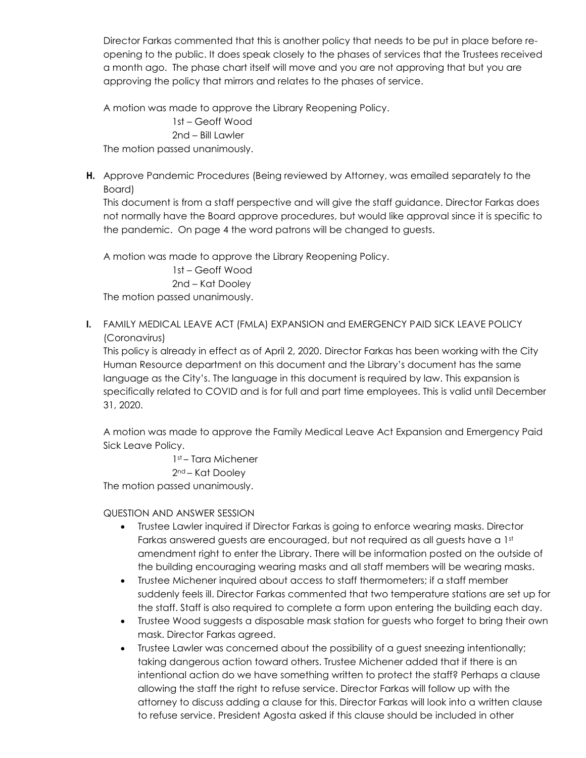Director Farkas commented that this is another policy that needs to be put in place before reopening to the public. It does speak closely to the phases of services that the Trustees received a month ago. The phase chart itself will move and you are not approving that but you are approving the policy that mirrors and relates to the phases of service.

A motion was made to approve the Library Reopening Policy. 1st – Geoff Wood 2nd – Bill Lawler

The motion passed unanimously.

**H.** Approve Pandemic Procedures (Being reviewed by Attorney, was emailed separately to the Board)

This document is from a staff perspective and will give the staff guidance. Director Farkas does not normally have the Board approve procedures, but would like approval since it is specific to the pandemic. On page 4 the word patrons will be changed to guests.

A motion was made to approve the Library Reopening Policy.

1st – Geoff Wood 2nd – Kat Dooley

The motion passed unanimously.

**I.** FAMILY MEDICAL LEAVE ACT (FMLA) EXPANSION and EMERGENCY PAID SICK LEAVE POLICY (Coronavirus)

This policy is already in effect as of April 2, 2020. Director Farkas has been working with the City Human Resource department on this document and the Library's document has the same language as the City's. The language in this document is required by law. This expansion is specifically related to COVID and is for full and part time employees. This is valid until December 31, 2020.

A motion was made to approve the Family Medical Leave Act Expansion and Emergency Paid Sick Leave Policy.

1st – Tara Michener

2nd – Kat Dooley

The motion passed unanimously.

#### QUESTION AND ANSWER SESSION

- Trustee Lawler inquired if Director Farkas is going to enforce wearing masks. Director Farkas answered guests are encouraged, but not required as all guests have a 1st amendment right to enter the Library. There will be information posted on the outside of the building encouraging wearing masks and all staff members will be wearing masks.
- Trustee Michener inquired about access to staff thermometers; if a staff member suddenly feels ill. Director Farkas commented that two temperature stations are set up for the staff. Staff is also required to complete a form upon entering the building each day.
- Trustee Wood suggests a disposable mask station for guests who forget to bring their own mask. Director Farkas agreed.
- Trustee Lawler was concerned about the possibility of a guest sneezing intentionally; taking dangerous action toward others. Trustee Michener added that if there is an intentional action do we have something written to protect the staff? Perhaps a clause allowing the staff the right to refuse service. Director Farkas will follow up with the attorney to discuss adding a clause for this. Director Farkas will look into a written clause to refuse service. President Agosta asked if this clause should be included in other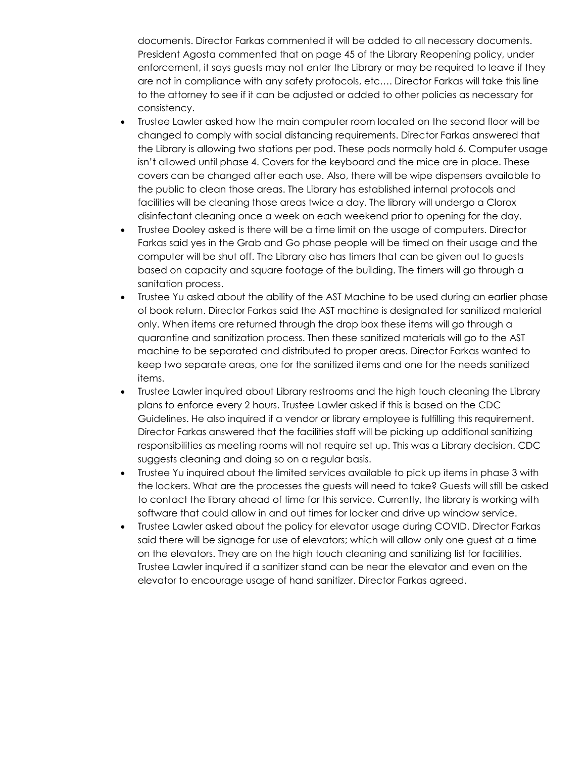documents. Director Farkas commented it will be added to all necessary documents. President Agosta commented that on page 45 of the Library Reopening policy, under enforcement, it says guests may not enter the Library or may be required to leave if they are not in compliance with any safety protocols, etc…. Director Farkas will take this line to the attorney to see if it can be adjusted or added to other policies as necessary for consistency.

- Trustee Lawler asked how the main computer room located on the second floor will be changed to comply with social distancing requirements. Director Farkas answered that the Library is allowing two stations per pod. These pods normally hold 6. Computer usage isn't allowed until phase 4. Covers for the keyboard and the mice are in place. These covers can be changed after each use. Also, there will be wipe dispensers available to the public to clean those areas. The Library has established internal protocols and facilities will be cleaning those areas twice a day. The library will undergo a Clorox disinfectant cleaning once a week on each weekend prior to opening for the day.
- Trustee Dooley asked is there will be a time limit on the usage of computers. Director Farkas said yes in the Grab and Go phase people will be timed on their usage and the computer will be shut off. The Library also has timers that can be given out to guests based on capacity and square footage of the building. The timers will go through a sanitation process.
- Trustee Yu asked about the ability of the AST Machine to be used during an earlier phase of book return. Director Farkas said the AST machine is designated for sanitized material only. When items are returned through the drop box these items will go through a quarantine and sanitization process. Then these sanitized materials will go to the AST machine to be separated and distributed to proper areas. Director Farkas wanted to keep two separate areas, one for the sanitized items and one for the needs sanitized items.
- Trustee Lawler inquired about Library restrooms and the high touch cleaning the Library plans to enforce every 2 hours. Trustee Lawler asked if this is based on the CDC Guidelines. He also inquired if a vendor or library employee is fulfilling this requirement. Director Farkas answered that the facilities staff will be picking up additional sanitizing responsibilities as meeting rooms will not require set up. This was a Library decision. CDC suggests cleaning and doing so on a regular basis.
- Trustee Yu inquired about the limited services available to pick up items in phase 3 with the lockers. What are the processes the guests will need to take? Guests will still be asked to contact the library ahead of time for this service. Currently, the library is working with software that could allow in and out times for locker and drive up window service.
- Trustee Lawler asked about the policy for elevator usage during COVID. Director Farkas said there will be signage for use of elevators; which will allow only one guest at a time on the elevators. They are on the high touch cleaning and sanitizing list for facilities. Trustee Lawler inquired if a sanitizer stand can be near the elevator and even on the elevator to encourage usage of hand sanitizer. Director Farkas agreed.